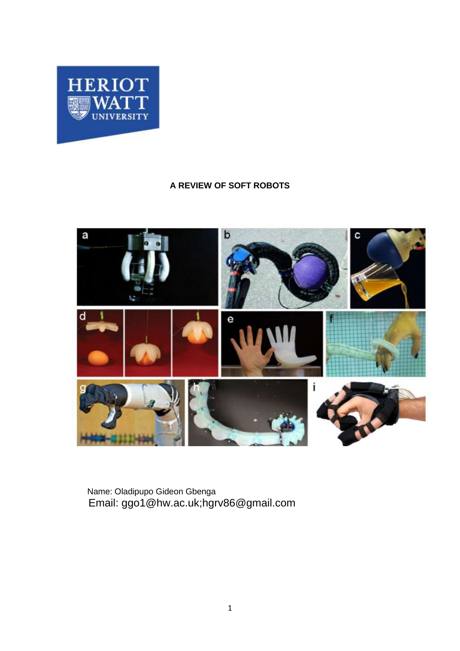<span id="page-0-0"></span>

# **A REVIEW OF SOFT ROBOTS**



Name: Oladipupo Gideon Gbenga Email: ggo1@hw.ac.uk;hgrv86@gmail.com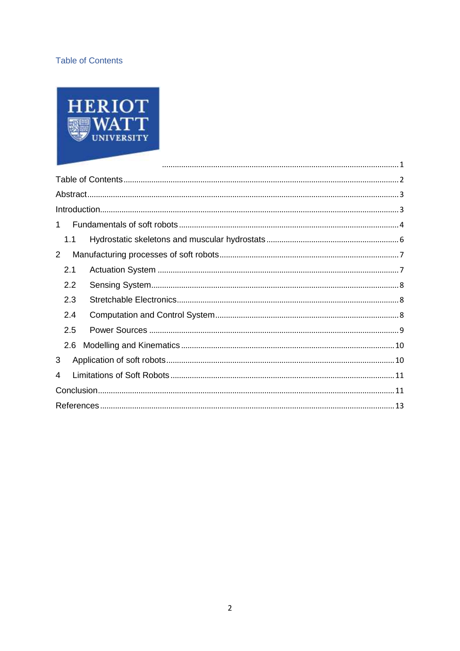# <span id="page-1-0"></span>**Table of Contents**



| 1.             |  |
|----------------|--|
| 1.1            |  |
| $\overline{2}$ |  |
| 2.1            |  |
| 2.2            |  |
| 2.3            |  |
| 2.4            |  |
| 2.5            |  |
| 2.6            |  |
| 3              |  |
| 4              |  |
|                |  |
|                |  |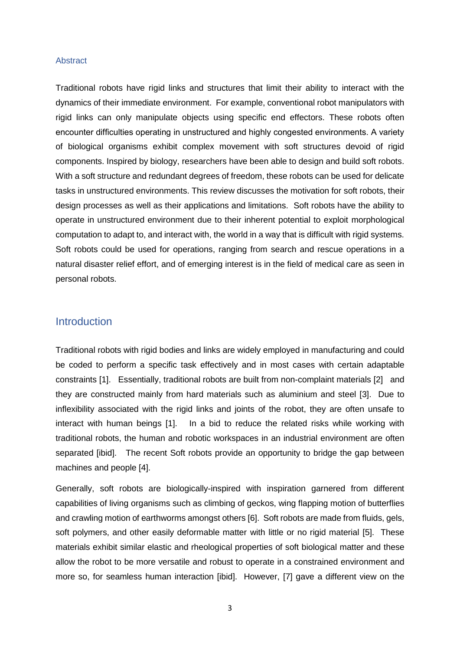#### <span id="page-2-0"></span>**Abstract**

Traditional robots have rigid links and structures that limit their ability to interact with the dynamics of their immediate environment. For example, conventional robot manipulators with rigid links can only manipulate objects using specific end effectors. These robots often encounter difficulties operating in unstructured and highly congested environments. A variety of biological organisms exhibit complex movement with soft structures devoid of rigid components. Inspired by biology, researchers have been able to design and build soft robots. With a soft structure and redundant degrees of freedom, these robots can be used for delicate tasks in unstructured environments. This review discusses the motivation for soft robots, their design processes as well as their applications and limitations. Soft robots have the ability to operate in unstructured environment due to their inherent potential to exploit morphological computation to adapt to, and interact with, the world in a way that is difficult with rigid systems. Soft robots could be used for operations, ranging from search and rescue operations in a natural disaster relief effort, and of emerging interest is in the field of medical care as seen in personal robots.

# <span id="page-2-1"></span>**Introduction**

Traditional robots with rigid bodies and links are widely employed in manufacturing and could be coded to perform a specific task effectively and in most cases with certain adaptable constraints [1]. Essentially, traditional robots are built from non-complaint materials [2] and they are constructed mainly from hard materials such as aluminium and steel [3]. Due to inflexibility associated with the rigid links and joints of the robot, they are often unsafe to interact with human beings [1]. In a bid to reduce the related risks while working with traditional robots, the human and robotic workspaces in an industrial environment are often separated [ibid]. The recent Soft robots provide an opportunity to bridge the gap between machines and people [4].

Generally, soft robots are biologically-inspired with inspiration garnered from different capabilities of living organisms such as climbing of geckos, wing flapping motion of butterflies and crawling motion of earthworms amongst others [6]. Soft robots are made from fluids, gels, soft polymers, and other easily deformable matter with little or no rigid material [5]. These materials exhibit similar elastic and rheological properties of soft biological matter and these allow the robot to be more versatile and robust to operate in a constrained environment and more so, for seamless human interaction [ibid]. However, [7] gave a different view on the

3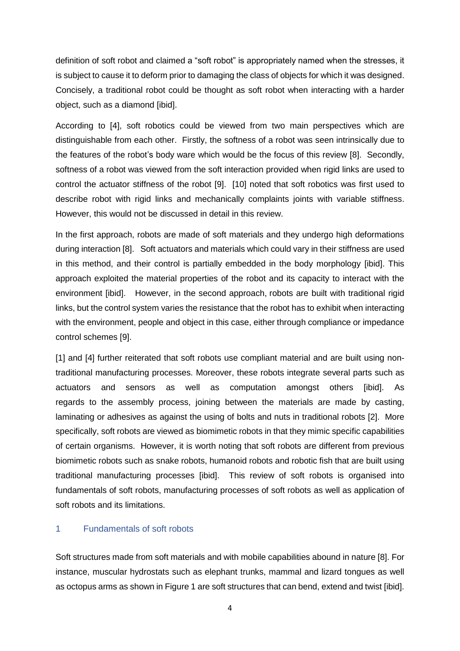definition of soft robot and claimed a "soft robot" is appropriately named when the stresses, it is subject to cause it to deform prior to damaging the class of objects for which it was designed. Concisely, a traditional robot could be thought as soft robot when interacting with a harder object, such as a diamond [ibid].

According to [4], soft robotics could be viewed from two main perspectives which are distinguishable from each other. Firstly, the softness of a robot was seen intrinsically due to the features of the robot's body ware which would be the focus of this review [8]. Secondly, softness of a robot was viewed from the soft interaction provided when rigid links are used to control the actuator stiffness of the robot [9]. [10] noted that soft robotics was first used to describe robot with rigid links and mechanically complaints joints with variable stiffness. However, this would not be discussed in detail in this review.

In the first approach, robots are made of soft materials and they undergo high deformations during interaction [8]. Soft actuators and materials which could vary in their stiffness are used in this method, and their control is partially embedded in the body morphology [ibid]. This approach exploited the material properties of the robot and its capacity to interact with the environment [ibid]. However, in the second approach, robots are built with traditional rigid links, but the control system varies the resistance that the robot has to exhibit when interacting with the environment, people and object in this case, either through compliance or impedance control schemes [9].

[1] and [4] further reiterated that soft robots use compliant material and are built using nontraditional manufacturing processes. Moreover, these robots integrate several parts such as actuators and sensors as well as computation amongst others [ibid]. As regards to the assembly process, joining between the materials are made by casting, laminating or adhesives as against the using of bolts and nuts in traditional robots [2]. More specifically, soft robots are viewed as biomimetic robots in that they mimic specific capabilities of certain organisms. However, it is worth noting that soft robots are different from previous biomimetic robots such as snake robots, humanoid robots and robotic fish that are built using traditional manufacturing processes [ibid]. This review of soft robots is organised into fundamentals of soft robots, manufacturing processes of soft robots as well as application of soft robots and its limitations.

#### <span id="page-3-0"></span>1 Fundamentals of soft robots

Soft structures made from soft materials and with mobile capabilities abound in nature [8]. For instance, muscular hydrostats such as elephant trunks, mammal and lizard tongues as well as octopus arms as shown in Figure 1 are soft structures that can bend, extend and twist [ibid].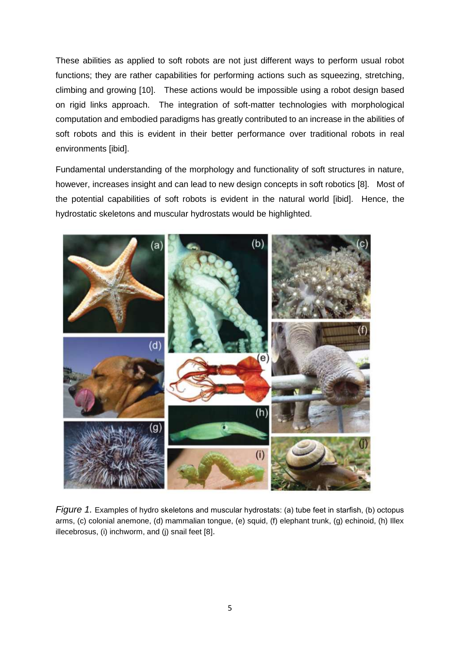These abilities as applied to soft robots are not just different ways to perform usual robot functions; they are rather capabilities for performing actions such as squeezing, stretching, climbing and growing [10]. These actions would be impossible using a robot design based on rigid links approach. The integration of soft-matter technologies with morphological computation and embodied paradigms has greatly contributed to an increase in the abilities of soft robots and this is evident in their better performance over traditional robots in real environments [ibid].

Fundamental understanding of the morphology and functionality of soft structures in nature, however, increases insight and can lead to new design concepts in soft robotics [8]. Most of the potential capabilities of soft robots is evident in the natural world [ibid]. Hence, the hydrostatic skeletons and muscular hydrostats would be highlighted.

<span id="page-4-0"></span>

*Figure 1.* Examples of hydro skeletons and muscular hydrostats: (a) tube feet in starfish, (b) octopus arms, (c) colonial anemone, (d) mammalian tongue, (e) squid, (f) elephant trunk, (g) echinoid, (h) Illex illecebrosus, (i) inchworm, and (j) snail feet [8].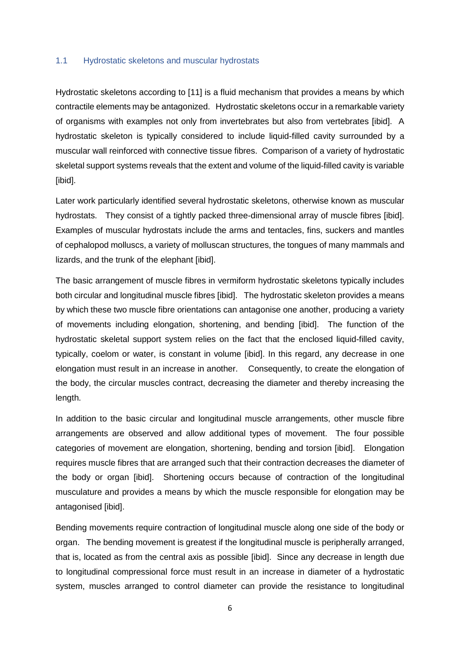#### 1.1 Hydrostatic skeletons and muscular hydrostats

Hydrostatic skeletons according to [11] is a fluid mechanism that provides a means by which contractile elements may be antagonized. Hydrostatic skeletons occur in a remarkable variety of organisms with examples not only from invertebrates but also from vertebrates [ibid]. A hydrostatic skeleton is typically considered to include liquid-filled cavity surrounded by a muscular wall reinforced with connective tissue fibres. Comparison of a variety of hydrostatic skeletal support systems reveals that the extent and volume of the liquid-filled cavity is variable [ibid].

Later work particularly identified several hydrostatic skeletons, otherwise known as muscular hydrostats. They consist of a tightly packed three-dimensional array of muscle fibres [ibid]. Examples of muscular hydrostats include the arms and tentacles, fins, suckers and mantles of cephalopod molluscs, a variety of molluscan structures, the tongues of many mammals and lizards, and the trunk of the elephant [ibid].

The basic arrangement of muscle fibres in vermiform hydrostatic skeletons typically includes both circular and longitudinal muscle fibres [ibid]. The hydrostatic skeleton provides a means by which these two muscle fibre orientations can antagonise one another, producing a variety of movements including elongation, shortening, and bending [ibid]. The function of the hydrostatic skeletal support system relies on the fact that the enclosed liquid-filled cavity, typically, coelom or water, is constant in volume [ibid]. In this regard, any decrease in one elongation must result in an increase in another. Consequently, to create the elongation of the body, the circular muscles contract, decreasing the diameter and thereby increasing the length.

In addition to the basic circular and longitudinal muscle arrangements, other muscle fibre arrangements are observed and allow additional types of movement. The four possible categories of movement are elongation, shortening, bending and torsion [ibid]. Elongation requires muscle fibres that are arranged such that their contraction decreases the diameter of the body or organ [ibid]. Shortening occurs because of contraction of the longitudinal musculature and provides a means by which the muscle responsible for elongation may be antagonised [ibid].

Bending movements require contraction of longitudinal muscle along one side of the body or organ. The bending movement is greatest if the longitudinal muscle is peripherally arranged, that is, located as from the central axis as possible [ibid]. Since any decrease in length due to longitudinal compressional force must result in an increase in diameter of a hydrostatic system, muscles arranged to control diameter can provide the resistance to longitudinal

6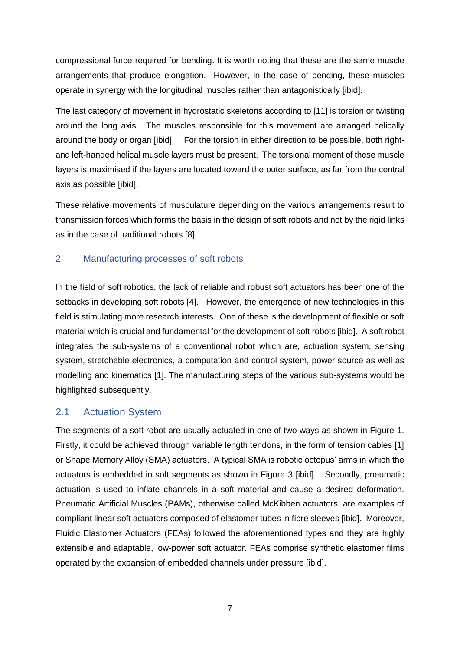compressional force required for bending. It is worth noting that these are the same muscle arrangements that produce elongation. However, in the case of bending, these muscles operate in synergy with the longitudinal muscles rather than antagonistically [ibid].

The last category of movement in hydrostatic skeletons according to [11] is torsion or twisting around the long axis. The muscles responsible for this movement are arranged helically around the body or organ [ibid]. For the torsion in either direction to be possible, both rightand left-handed helical muscle layers must be present. The torsional moment of these muscle layers is maximised if the layers are located toward the outer surface, as far from the central axis as possible [ibid].

These relative movements of musculature depending on the various arrangements result to transmission forces which forms the basis in the design of soft robots and not by the rigid links as in the case of traditional robots [8].

# <span id="page-6-0"></span>2 Manufacturing processes of soft robots

In the field of soft robotics, the lack of reliable and robust soft actuators has been one of the setbacks in developing soft robots [4]. However, the emergence of new technologies in this field is stimulating more research interests. One of these is the development of flexible or soft material which is crucial and fundamental for the development of soft robots [ibid]. A soft robot integrates the sub-systems of a conventional robot which are, actuation system, sensing system, stretchable electronics, a computation and control system, power source as well as modelling and kinematics [1]. The manufacturing steps of the various sub-systems would be highlighted subsequently.

# <span id="page-6-1"></span>2.1 Actuation System

The segments of a soft robot are usually actuated in one of two ways as shown in Figure 1. Firstly, it could be achieved through variable length tendons, in the form of tension cables [1] or Shape Memory Alloy (SMA) actuators. A typical SMA is robotic octopus' arms in which the actuators is embedded in soft segments as shown in Figure 3 [ibid]. Secondly, pneumatic actuation is used to inflate channels in a soft material and cause a desired deformation. Pneumatic Artificial Muscles (PAMs), otherwise called McKibben actuators, are examples of compliant linear soft actuators composed of elastomer tubes in fibre sleeves [ibid]. Moreover, Fluidic Elastomer Actuators (FEAs) followed the aforementioned types and they are highly extensible and adaptable, low-power soft actuator. FEAs comprise synthetic elastomer films operated by the expansion of embedded channels under pressure [ibid].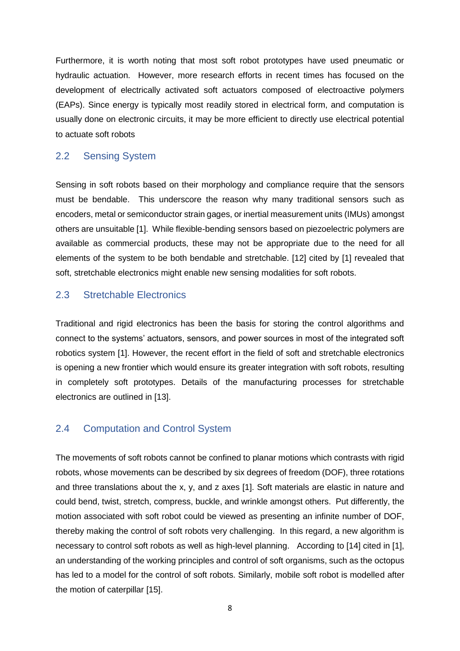Furthermore, it is worth noting that most soft robot prototypes have used pneumatic or hydraulic actuation. However, more research efforts in recent times has focused on the development of electrically activated soft actuators composed of electroactive polymers (EAPs). Since energy is typically most readily stored in electrical form, and computation is usually done on electronic circuits, it may be more efficient to directly use electrical potential to actuate soft robots

### <span id="page-7-0"></span>2.2 Sensing System

Sensing in soft robots based on their morphology and compliance require that the sensors must be bendable. This underscore the reason why many traditional sensors such as encoders, metal or semiconductor strain gages, or inertial measurement units (IMUs) amongst others are unsuitable [1]. While flexible-bending sensors based on piezoelectric polymers are available as commercial products, these may not be appropriate due to the need for all elements of the system to be both bendable and stretchable. [12] cited by [1] revealed that soft, stretchable electronics might enable new sensing modalities for soft robots.

### <span id="page-7-1"></span>2.3 Stretchable Electronics

Traditional and rigid electronics has been the basis for storing the control algorithms and connect to the systems' actuators, sensors, and power sources in most of the integrated soft robotics system [1]. However, the recent effort in the field of soft and stretchable electronics is opening a new frontier which would ensure its greater integration with soft robots, resulting in completely soft prototypes. Details of the manufacturing processes for stretchable electronics are outlined in [13].

# <span id="page-7-2"></span>2.4 Computation and Control System

The movements of soft robots cannot be confined to planar motions which contrasts with rigid robots, whose movements can be described by six degrees of freedom (DOF), three rotations and three translations about the x, y, and z axes [1]. Soft materials are elastic in nature and could bend, twist, stretch, compress, buckle, and wrinkle amongst others. Put differently, the motion associated with soft robot could be viewed as presenting an infinite number of DOF, thereby making the control of soft robots very challenging. In this regard, a new algorithm is necessary to control soft robots as well as high-level planning. According to [14] cited in [1], an understanding of the working principles and control of soft organisms, such as the octopus has led to a model for the control of soft robots. Similarly, mobile soft robot is modelled after the motion of caterpillar [15].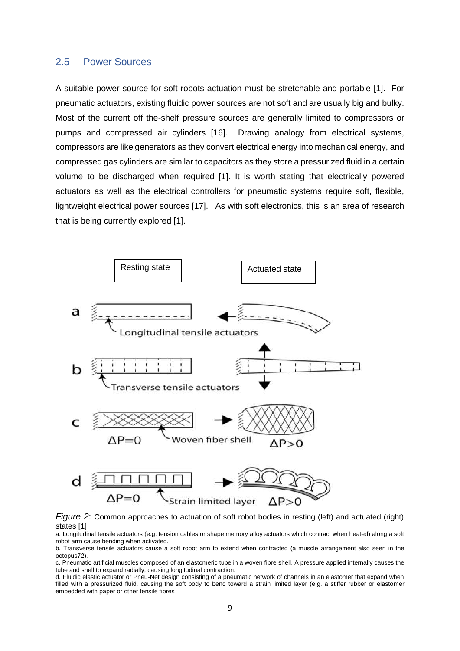#### <span id="page-8-0"></span>2.5 Power Sources

A suitable power source for soft robots actuation must be stretchable and portable [1]. For pneumatic actuators, existing fluidic power sources are not soft and are usually big and bulky. Most of the current off the-shelf pressure sources are generally limited to compressors or pumps and compressed air cylinders [16]. Drawing analogy from electrical systems, compressors are like generators as they convert electrical energy into mechanical energy, and compressed gas cylinders are similar to capacitors as they store a pressurized fluid in a certain volume to be discharged when required [1]. It is worth stating that electrically powered actuators as well as the electrical controllers for pneumatic systems require soft, flexible, lightweight electrical power sources [17]. As with soft electronics, this is an area of research that is being currently explored [1].



*Figure 2*: Common approaches to actuation of soft robot bodies in resting (left) and actuated (right) states [1]

a. Longitudinal tensile actuators (e.g. tension cables or shape memory alloy actuators which contract when heated) along a soft robot arm cause bending when activated.

b. Transverse tensile actuators cause a soft robot arm to extend when contracted (a muscle arrangement also seen in the octopus72).

c. Pneumatic artificial muscles composed of an elastomeric tube in a woven fibre shell. A pressure applied internally causes the tube and shell to expand radially, causing longitudinal contraction.

d. Fluidic elastic actuator or Pneu-Net design consisting of a pneumatic network of channels in an elastomer that expand when filled with a pressurized fluid, causing the soft body to bend toward a strain limited layer (e.g. a stiffer rubber or elastomer embedded with paper or other tensile fibres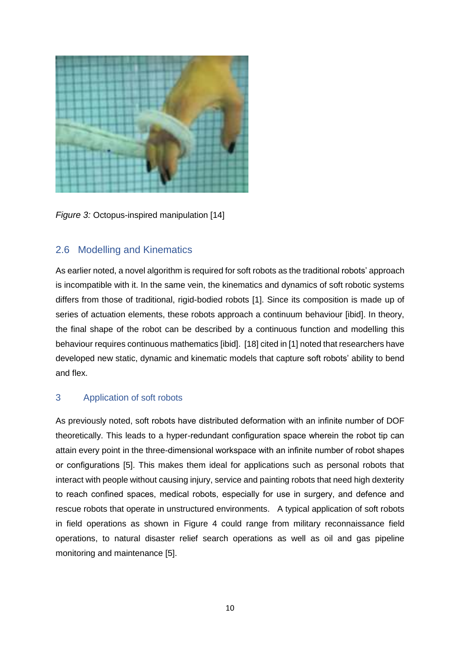

*Figure 3:* Octopus-inspired manipulation [14]

# <span id="page-9-0"></span>2.6 Modelling and Kinematics

As earlier noted, a novel algorithm is required for soft robots as the traditional robots' approach is incompatible with it. In the same vein, the kinematics and dynamics of soft robotic systems differs from those of traditional, rigid-bodied robots [1]. Since its composition is made up of series of actuation elements, these robots approach a continuum behaviour [ibid]. In theory, the final shape of the robot can be described by a continuous function and modelling this behaviour requires continuous mathematics [ibid]. [18] cited in [1] noted that researchers have developed new static, dynamic and kinematic models that capture soft robots' ability to bend and flex.

# <span id="page-9-1"></span>3 Application of soft robots

As previously noted, soft robots have distributed deformation with an infinite number of DOF theoretically. This leads to a hyper-redundant configuration space wherein the robot tip can attain every point in the three-dimensional workspace with an infinite number of robot shapes or configurations [5]. This makes them ideal for applications such as personal robots that interact with people without causing injury, service and painting robots that need high dexterity to reach confined spaces, medical robots, especially for use in surgery, and defence and rescue robots that operate in unstructured environments. A typical application of soft robots in field operations as shown in Figure 4 could range from military reconnaissance field operations, to natural disaster relief search operations as well as oil and gas pipeline monitoring and maintenance [5].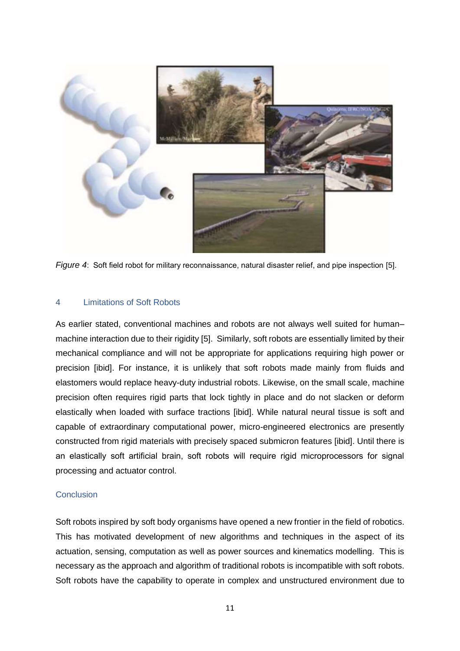

*Figure 4*: Soft field robot for military reconnaissance, natural disaster relief, and pipe inspection [5].

#### <span id="page-10-0"></span>4 Limitations of Soft Robots

As earlier stated, conventional machines and robots are not always well suited for human– machine interaction due to their rigidity [5]. Similarly, soft robots are essentially limited by their mechanical compliance and will not be appropriate for applications requiring high power or precision [ibid]. For instance, it is unlikely that soft robots made mainly from fluids and elastomers would replace heavy-duty industrial robots. Likewise, on the small scale, machine precision often requires rigid parts that lock tightly in place and do not slacken or deform elastically when loaded with surface tractions [ibid]. While natural neural tissue is soft and capable of extraordinary computational power, micro-engineered electronics are presently constructed from rigid materials with precisely spaced submicron features [ibid]. Until there is an elastically soft artificial brain, soft robots will require rigid microprocessors for signal processing and actuator control.

#### <span id="page-10-1"></span>**Conclusion**

Soft robots inspired by soft body organisms have opened a new frontier in the field of robotics. This has motivated development of new algorithms and techniques in the aspect of its actuation, sensing, computation as well as power sources and kinematics modelling. This is necessary as the approach and algorithm of traditional robots is incompatible with soft robots. Soft robots have the capability to operate in complex and unstructured environment due to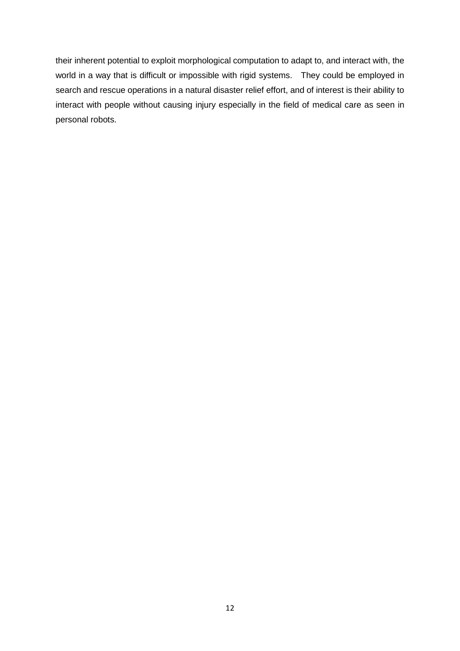their inherent potential to exploit morphological computation to adapt to, and interact with, the world in a way that is difficult or impossible with rigid systems. They could be employed in search and rescue operations in a natural disaster relief effort, and of interest is their ability to interact with people without causing injury especially in the field of medical care as seen in personal robots.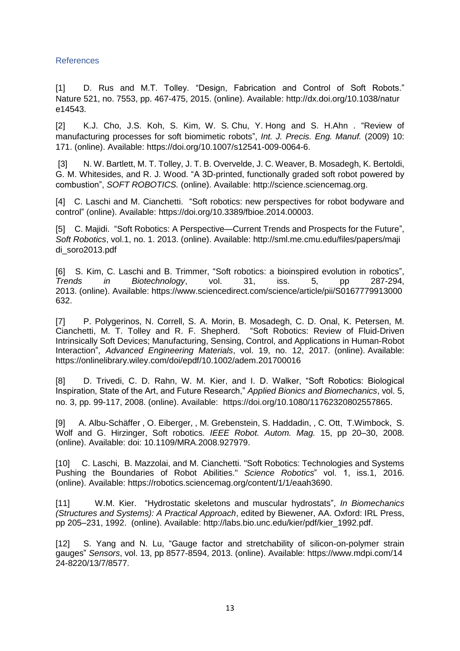#### <span id="page-12-0"></span>References

[1] D. Rus and M.T. Tolley. "Design, Fabrication and Control of Soft Robots." Nature 521, no. 7553, pp. 467-475, 2015. (online). Available: http://dx.doi.org/10.1038/natur e14543.

[2] K.J. Cho, J.S. Koh, S. Kim, W. S. Chu, Y. Hong and S. H.Ahn . "Review of manufacturing processes for soft biomimetic robots", *Int. J. Precis. Eng. Manuf.* (2009) 10: 171. (online). Available: https://doi.org/10.1007/s12541-009-0064-6.

[3] N. W. Bartlett, M. T. Tolley, J. T. B. Overvelde, J. C. Weaver, B. Mosadegh, K. Bertoldi, G. M. Whitesides, and R. J. Wood. "A 3D-printed, functionally graded soft robot powered by combustion", *SOFT ROBOTICS.* (online). Available: http://science.sciencemag.org.

[4] C. Laschi and M. Cianchetti. "Soft robotics: new perspectives for robot bodyware and control" (online). Available: https://doi.org/10.3389/fbioe.2014.00003.

[5] C. Majidi. "Soft Robotics: A Perspective—Current Trends and Prospects for the Future", *Soft Robotics*, vol.1, no. 1. 2013. (online). Available: http://sml.me.cmu.edu/files/papers/maji di\_soro2013.pdf

[6] S. Kim, C. Laschi and B. Trimmer, "Soft robotics: a bioinspired evolution in robotics", *Trends in Biotechnology*, vol. 31, iss. 5, pp 287-294, 2013. (online). Available: https://www.sciencedirect.com/science/article/pii/S0167779913000 632.

[7] P. Polygerinos, N. Correll, S. A. Morin, B. Mosadegh, C. D. Onal, K. Petersen, M. Cianchetti, M. T. Tolley and R. F. Shepherd. "Soft Robotics: Review of Fluid-Driven Intrinsically Soft Devices; Manufacturing, Sensing, Control, and Applications in Human-Robot Interaction", *Advanced Engineering Materials*, vol. 19, no. 12, 2017. (online). Available: https://onlinelibrary.wiley.com/doi/epdf/10.1002/adem.201700016

[8] D. Trivedi, C. D. Rahn, W. M. Kier, and I. D. Walker, "Soft Robotics: Biological Inspiration, State of the Art, and Future Research," *Applied Bionics and Biomechanics*, vol. 5, no. 3, pp. 99-117, 2008. (online). Available: https://doi.org/10.1080/11762320802557865.

[9] A. Albu-Schäffer , O. Eiberger, , M. Grebenstein, S. Haddadin, , C. Ott, T.Wimbock, S. Wolf and G. Hirzinger, Soft robotics. *IEEE Robot. Autom. Mag.* 15, pp 20–30, 2008. (online). Available: doi: 10.1109/MRA.2008.927979.

[10] C. Laschi, B. Mazzolai, and M. Cianchetti. "Soft Robotics: Technologies and Systems Pushing the Boundaries of Robot Abilities." *Science Robotics*" vol. 1, iss.1, 2016. (online). Available: https://robotics.sciencemag.org/content/1/1/eaah3690.

[11] W.M. Kier. "Hydrostatic skeletons and muscular hydrostats", *In Biomechanics (Structures and Systems): A Practical Approach*, edited by Biewener, AA. Oxford: IRL Press, pp 205–231, 1992. (online). Available: http://labs.bio.unc.edu/kier/pdf/kier\_1992.pdf.

[12] S. Yang and N. Lu, "Gauge factor and stretchability of silicon-on-polymer strain gauges" *Sensors*, vol. 13, pp 8577-8594, 2013. (online). Available: https://www.mdpi.com/14 24-8220/13/7/8577.